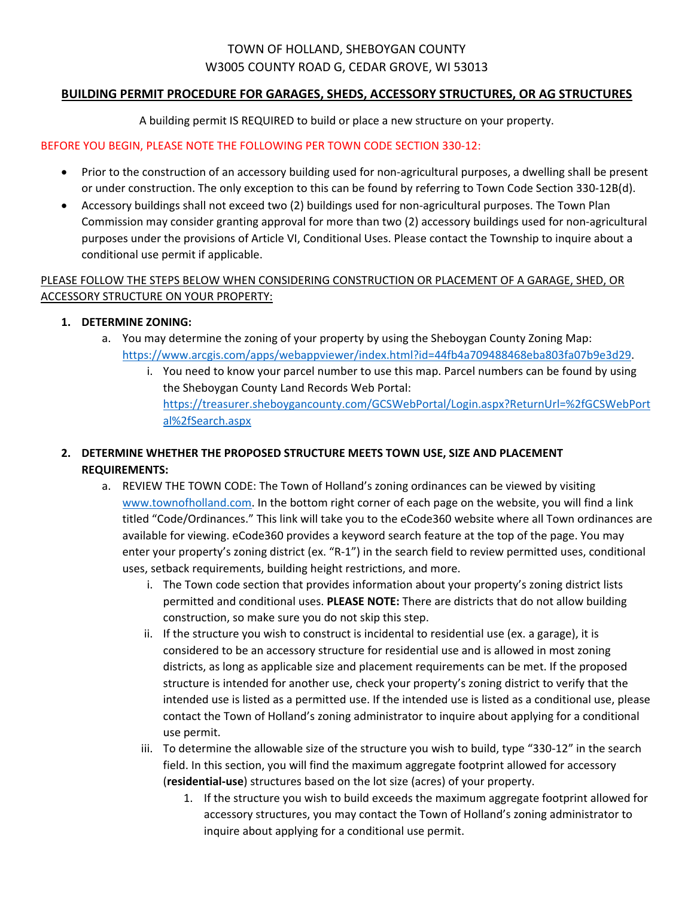# TOWN OF HOLLAND, SHEBOYGAN COUNTY W3005 COUNTY ROAD G, CEDAR GROVE, WI 53013

#### **BUILDING PERMIT PROCEDURE FOR GARAGES, SHEDS, ACCESSORY STRUCTURES, OR AG STRUCTURES**

A building permit IS REQUIRED to build or place a new structure on your property.

#### BEFORE YOU BEGIN, PLEASE NOTE THE FOLLOWING PER TOWN CODE SECTION 330‐12:

- Prior to the construction of an accessory building used for non-agricultural purposes, a dwelling shall be present or under construction. The only exception to this can be found by referring to Town Code Section 330‐12B(d).
- Accessory buildings shall not exceed two (2) buildings used for non-agricultural purposes. The Town Plan Commission may consider granting approval for more than two (2) accessory buildings used for non‐agricultural purposes under the provisions of Article VI, Conditional Uses. Please contact the Township to inquire about a conditional use permit if applicable.

## PLEASE FOLLOW THE STEPS BELOW WHEN CONSIDERING CONSTRUCTION OR PLACEMENT OF A GARAGE, SHED, OR ACCESSORY STRUCTURE ON YOUR PROPERTY:

#### **1. DETERMINE ZONING:**

- a. You may determine the zoning of your property by using the Sheboygan County Zoning Map: https://www.arcgis.com/apps/webappviewer/index.html?id=44fb4a709488468eba803fa07b9e3d29.
	- i. You need to know your parcel number to use this map. Parcel numbers can be found by using the Sheboygan County Land Records Web Portal: https://treasurer.sheboygancounty.com/GCSWebPortal/Login.aspx?ReturnUrl=%2fGCSWebPort al%2fSearch.aspx

# **2. DETERMINE WHETHER THE PROPOSED STRUCTURE MEETS TOWN USE, SIZE AND PLACEMENT REQUIREMENTS:**

- a. REVIEW THE TOWN CODE: The Town of Holland's zoning ordinances can be viewed by visiting www.townofholland.com. In the bottom right corner of each page on the website, you will find a link titled "Code/Ordinances." This link will take you to the eCode360 website where all Town ordinances are available for viewing. eCode360 provides a keyword search feature at the top of the page. You may enter your property's zoning district (ex. "R-1") in the search field to review permitted uses, conditional uses, setback requirements, building height restrictions, and more.
	- i. The Town code section that provides information about your property's zoning district lists permitted and conditional uses. **PLEASE NOTE:** There are districts that do not allow building construction, so make sure you do not skip this step.
	- ii. If the structure you wish to construct is incidental to residential use (ex. a garage), it is considered to be an accessory structure for residential use and is allowed in most zoning districts, as long as applicable size and placement requirements can be met. If the proposed structure is intended for another use, check your property's zoning district to verify that the intended use is listed as a permitted use. If the intended use is listed as a conditional use, please contact the Town of Holland's zoning administrator to inquire about applying for a conditional use permit.
	- iii. To determine the allowable size of the structure you wish to build, type "330‐12" in the search field. In this section, you will find the maximum aggregate footprint allowed for accessory (**residential‐use**) structures based on the lot size (acres) of your property.
		- 1. If the structure you wish to build exceeds the maximum aggregate footprint allowed for accessory structures, you may contact the Town of Holland's zoning administrator to inquire about applying for a conditional use permit.